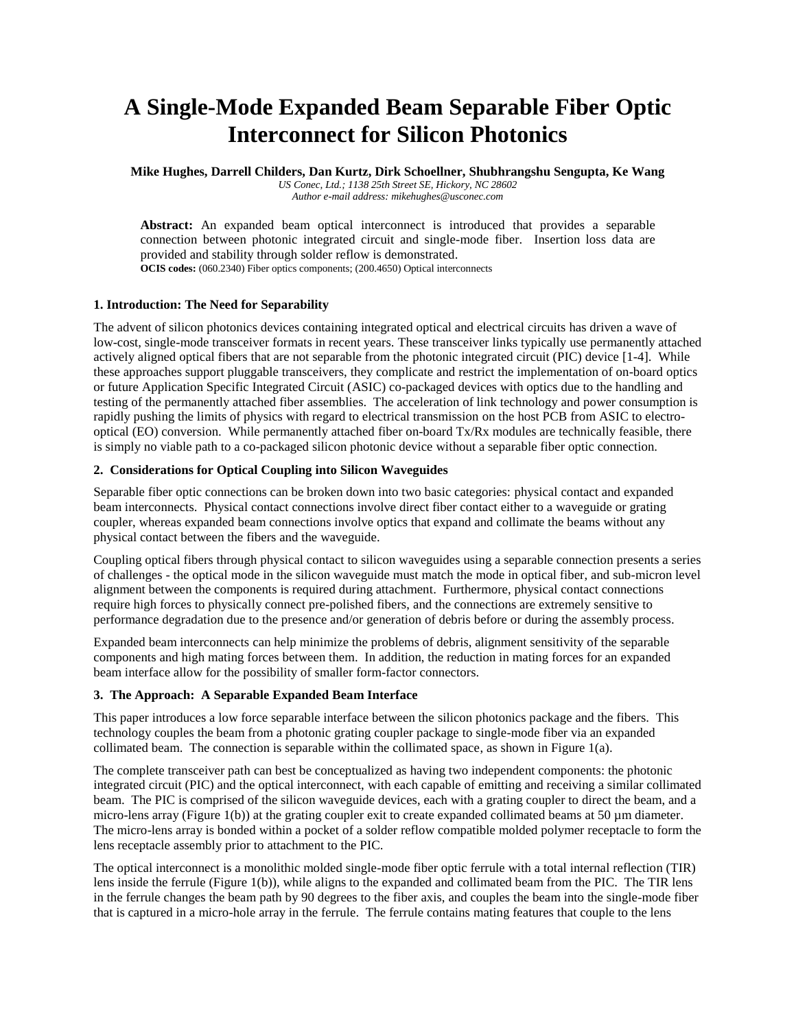# **A Single-Mode Expanded Beam Separable Fiber Optic Interconnect for Silicon Photonics**

**Mike Hughes, Darrell Childers, Dan Kurtz, Dirk Schoellner, Shubhrangshu Sengupta, Ke Wang**

*US Conec, Ltd.; 1138 25th Street SE, Hickory, NC 28602 Author e-mail address: mikehughes@usconec.com*

**Abstract:** An expanded beam optical interconnect is introduced that provides a separable connection between photonic integrated circuit and single-mode fiber. Insertion loss data are provided and stability through solder reflow is demonstrated. **OCIS codes:** (060.2340) Fiber optics components; (200.4650) Optical interconnects

# **1. Introduction: The Need for Separability**

The advent of silicon photonics devices containing integrated optical and electrical circuits has driven a wave of low-cost, single-mode transceiver formats in recent years. These transceiver links typically use permanently attached actively aligned optical fibers that are not separable from the photonic integrated circuit (PIC) device [1-4]. While these approaches support pluggable transceivers, they complicate and restrict the implementation of on-board optics or future Application Specific Integrated Circuit (ASIC) co-packaged devices with optics due to the handling and testing of the permanently attached fiber assemblies. The acceleration of link technology and power consumption is rapidly pushing the limits of physics with regard to electrical transmission on the host PCB from ASIC to electrooptical (EO) conversion. While permanently attached fiber on-board Tx/Rx modules are technically feasible, there is simply no viable path to a co-packaged silicon photonic device without a separable fiber optic connection.

# **2. Considerations for Optical Coupling into Silicon Waveguides**

Separable fiber optic connections can be broken down into two basic categories: physical contact and expanded beam interconnects. Physical contact connections involve direct fiber contact either to a waveguide or grating coupler, whereas expanded beam connections involve optics that expand and collimate the beams without any physical contact between the fibers and the waveguide.

Coupling optical fibers through physical contact to silicon waveguides using a separable connection presents a series of challenges - the optical mode in the silicon waveguide must match the mode in optical fiber, and sub-micron level alignment between the components is required during attachment. Furthermore, physical contact connections require high forces to physically connect pre-polished fibers, and the connections are extremely sensitive to performance degradation due to the presence and/or generation of debris before or during the assembly process.

Expanded beam interconnects can help minimize the problems of debris, alignment sensitivity of the separable components and high mating forces between them. In addition, the reduction in mating forces for an expanded beam interface allow for the possibility of smaller form-factor connectors.

# **3. The Approach: A Separable Expanded Beam Interface**

This paper introduces a low force separable interface between the silicon photonics package and the fibers. This technology couples the beam from a photonic grating coupler package to single-mode fiber via an expanded collimated beam. The connection is separable within the collimated space, as shown in Figure  $1(a)$ .

The complete transceiver path can best be conceptualized as having two independent components: the photonic integrated circuit (PIC) and the optical interconnect, with each capable of emitting and receiving a similar collimated beam. The PIC is comprised of the silicon waveguide devices, each with a grating coupler to direct the beam, and a micro-lens array (Figure 1(b)) at the grating coupler exit to create expanded collimated beams at 50  $\mu$ m diameter. The micro-lens array is bonded within a pocket of a solder reflow compatible molded polymer receptacle to form the lens receptacle assembly prior to attachment to the PIC.

The optical interconnect is a monolithic molded single-mode fiber optic ferrule with a total internal reflection (TIR) lens inside the ferrule (Figure 1(b)), while aligns to the expanded and collimated beam from the PIC. The TIR lens in the ferrule changes the beam path by 90 degrees to the fiber axis, and couples the beam into the single-mode fiber that is captured in a micro-hole array in the ferrule. The ferrule contains mating features that couple to the lens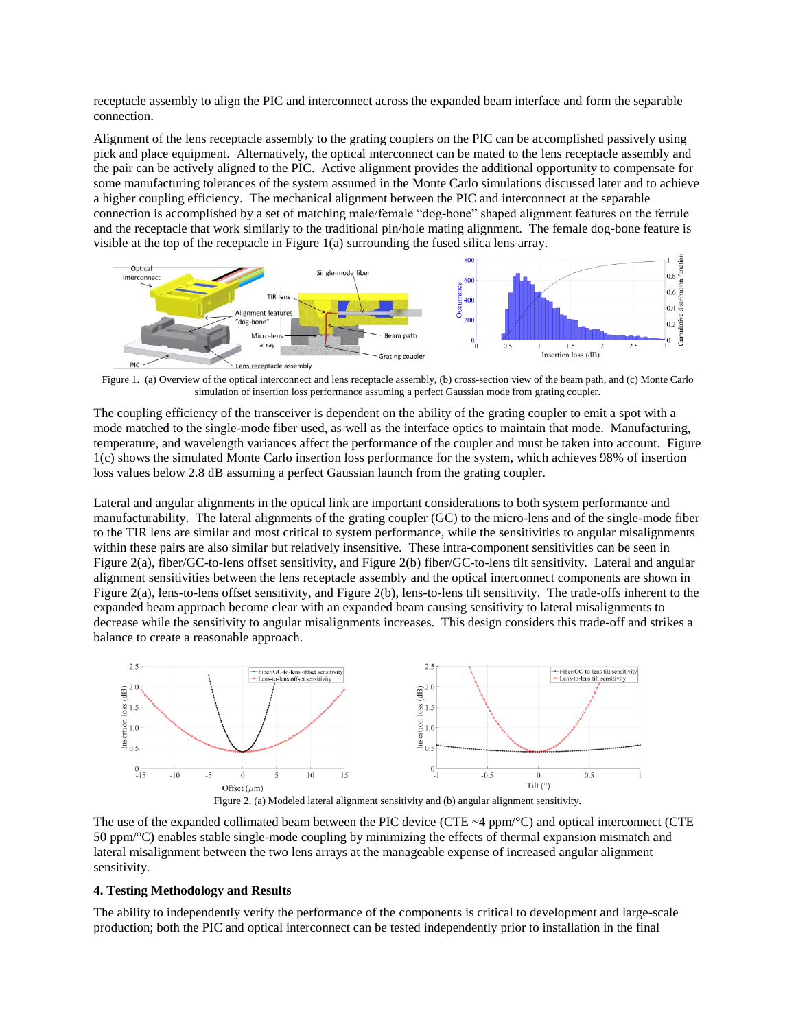receptacle assembly to align the PIC and interconnect across the expanded beam interface and form the separable connection.

Alignment of the lens receptacle assembly to the grating couplers on the PIC can be accomplished passively using pick and place equipment. Alternatively, the optical interconnect can be mated to the lens receptacle assembly and the pair can be actively aligned to the PIC. Active alignment provides the additional opportunity to compensate for some manufacturing tolerances of the system assumed in the Monte Carlo simulations discussed later and to achieve a higher coupling efficiency. The mechanical alignment between the PIC and interconnect at the separable connection is accomplished by a set of matching male/female "dog-bone" shaped alignment features on the ferrule and the receptacle that work similarly to the traditional pin/hole mating alignment. The female dog-bone feature is visible at the top of the receptacle in Figure 1(a) surrounding the fused silica lens array.



Figure 1. (a) Overview of the optical interconnect and lens receptacle assembly, (b) cross-section view of the beam path, and (c) Monte Carlo simulation of insertion loss performance assuming a perfect Gaussian mode from grating coupler.

The coupling efficiency of the transceiver is dependent on the ability of the grating coupler to emit a spot with a mode matched to the single-mode fiber used, as well as the interface optics to maintain that mode. Manufacturing, temperature, and wavelength variances affect the performance of the coupler and must be taken into account. Figure 1(c) shows the simulated Monte Carlo insertion loss performance for the system, which achieves 98% of insertion loss values below 2.8 dB assuming a perfect Gaussian launch from the grating coupler.

Lateral and angular alignments in the optical link are important considerations to both system performance and manufacturability. The lateral alignments of the grating coupler (GC) to the micro-lens and of the single-mode fiber to the TIR lens are similar and most critical to system performance, while the sensitivities to angular misalignments within these pairs are also similar but relatively insensitive. These intra-component sensitivities can be seen in Figure 2(a), fiber/GC-to-lens offset sensitivity, and Figure 2(b) fiber/GC-to-lens tilt sensitivity. Lateral and angular alignment sensitivities between the lens receptacle assembly and the optical interconnect components are shown in Figure 2(a), lens-to-lens offset sensitivity, and Figure 2(b), lens-to-lens tilt sensitivity. The trade-offs inherent to the expanded beam approach become clear with an expanded beam causing sensitivity to lateral misalignments to decrease while the sensitivity to angular misalignments increases. This design considers this trade-off and strikes a balance to create a reasonable approach.



The use of the expanded collimated beam between the PIC device (CTE  $\sim$ 4 ppm/ $\degree$ C) and optical interconnect (CTE 50 ppm/°C) enables stable single-mode coupling by minimizing the effects of thermal expansion mismatch and lateral misalignment between the two lens arrays at the manageable expense of increased angular alignment sensitivity.

## **4. Testing Methodology and Results**

The ability to independently verify the performance of the components is critical to development and large-scale production; both the PIC and optical interconnect can be tested independently prior to installation in the final